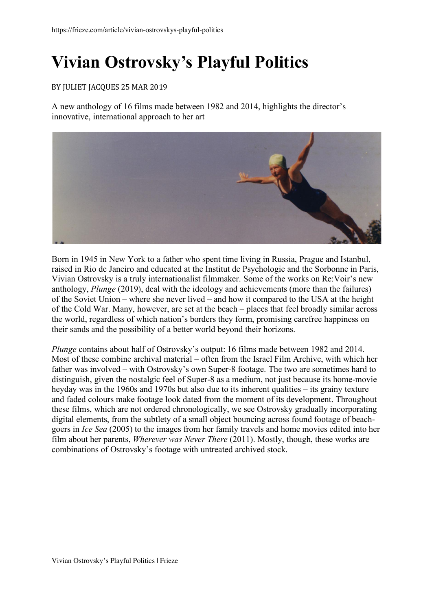## **Vivian Ostrovsky's Playful Politics**

## BY JULIET JACQUES 25 MAR 2019

A new anthology of 16 films made between 1982 and 2014, highlights the director's innovative, international approach to her art



Born in 1945 in New York to a father who spent time living in Russia, Prague and Istanbul, raised in Rio de Janeiro and educated at the Institut de Psychologie and the Sorbonne in Paris, Vivian Ostrovsky is a truly internationalist filmmaker. Some of the works on Re:Voir's new anthology, *Plunge* (2019), deal with the ideology and achievements (more than the failures) of the Soviet Union – where she never lived – and how it compared to the USA at the height of the Cold War. Many, however, are set at the beach – places that feel broadly similar across the world, regardless of which nation's borders they form, promising carefree happiness on their sands and the possibility of a better world beyond their horizons.

*Plunge* contains about half of Ostrovsky's output: 16 films made between 1982 and 2014. Most of these combine archival material – often from the Israel Film Archive, with which her father was involved – with Ostrovsky's own Super-8 footage. The two are sometimes hard to distinguish, given the nostalgic feel of Super-8 as a medium, not just because its home-movie heyday was in the 1960s and 1970s but also due to its inherent qualities – its grainy texture and faded colours make footage look dated from the moment of its development. Throughout these films, which are not ordered chronologically, we see Ostrovsky gradually incorporating digital elements, from the subtlety of a small object bouncing across found footage of beachgoers in *Ice Sea* (2005) to the images from her family travels and home movies edited into her film about her parents, *Wherever was Never There* (2011). Mostly, though, these works are combinations of Ostrovsky's footage with untreated archived stock.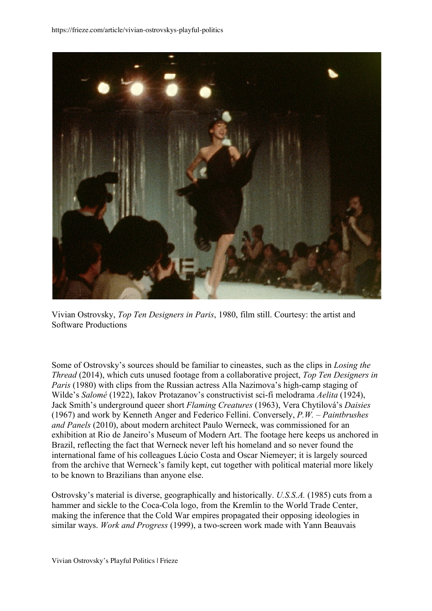

Vivian Ostrovsky, *Top Ten Designers in Paris*, 1980, film still. Courtesy: the artist and Software Productions

Some of Ostrovsky's sources should be familiar to cineastes, such as the clips in *Losing the Thread* (2014), which cuts unused footage from a collaborative project, *Top Ten Designers in Paris* (1980) with clips from the Russian actress Alla Nazimova's high-camp staging of Wilde's *Salomé* (1922), Iakov Protazanov's constructivist sci-fi melodrama *Aelita* (1924), Jack Smith's underground queer short *Flaming Creatures* (1963), Vera Chytilová's *Daisies* (1967) and work by Kenneth Anger and Federico Fellini. Conversely, *P.W. – Paintbrushes and Panels* (2010), about modern architect Paulo Werneck, was commissioned for an exhibition at Rio de Janeiro's Museum of Modern Art. The footage here keeps us anchored in Brazil, reflecting the fact that Werneck never left his homeland and so never found the international fame of his colleagues Lúcio Costa and Oscar Niemeyer; it is largely sourced from the archive that Werneck's family kept, cut together with political material more likely to be known to Brazilians than anyone else.

Ostrovsky's material is diverse, geographically and historically. *U.S.S.A.* (1985) cuts from a hammer and sickle to the Coca-Cola logo, from the Kremlin to the World Trade Center, making the inference that the Cold War empires propagated their opposing ideologies in similar ways. *Work and Progress* (1999), a two-screen work made with Yann Beauvais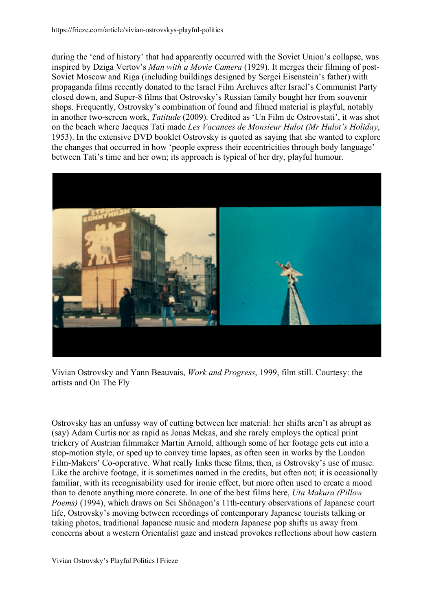https://frieze.com/article/vivian-ostrovskys-playful-politics

during the 'end of history' that had apparently occurred with the Soviet Union's collapse, was inspired by Dziga Vertov's *Man with a Movie Camera* (1929). It merges their filming of post-Soviet Moscow and Riga (including buildings designed by Sergei Eisenstein's father) with propaganda films recently donated to the Israel Film Archives after Israel's Communist Party closed down, and Super-8 films that Ostrovsky's Russian family bought her from souvenir shops. Frequently, Ostrovsky's combination of found and filmed material is playful, notably in another two-screen work, *Tatitude* (2009). Credited as 'Un Film de Ostrovstati', it was shot on the beach where Jacques Tati made *Les Vacances de Monsieur Hulot (Mr Hulot's Holiday*, 1953). In the extensive DVD booklet Ostrovsky is quoted as saying that she wanted to explore the changes that occurred in how 'people express their eccentricities through body language' between Tati's time and her own; its approach is typical of her dry, playful humour.



Vivian Ostrovsky and Yann Beauvais, *Work and Progress*, 1999, film still. Courtesy: the artists and On The Fly

Ostrovsky has an unfussy way of cutting between her material: her shifts aren't as abrupt as (say) Adam Curtis nor as rapid as Jonas Mekas, and she rarely employs the optical print trickery of Austrian filmmaker Martin Arnold, although some of her footage gets cut into a stop-motion style, or sped up to convey time lapses, as often seen in works by the London Film-Makers' Co-operative. What really links these films, then, is Ostrovsky's use of music. Like the archive footage, it is sometimes named in the credits, but often not; it is occasionally familiar, with its recognisability used for ironic effect, but more often used to create a mood than to denote anything more concrete. In one of the best films here, *Uta Makura (Pillow Poems)* (1994), which draws on Sei Shônagon's 11th-century observations of Japanese court life, Ostrovsky's moving between recordings of contemporary Japanese tourists talking or taking photos, traditional Japanese music and modern Japanese pop shifts us away from concerns about a western Orientalist gaze and instead provokes reflections about how eastern